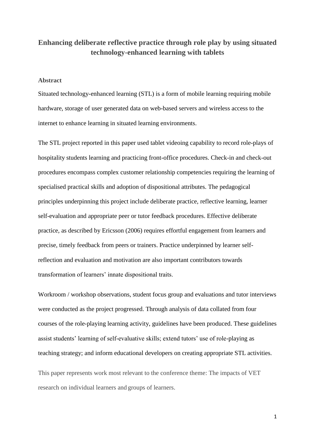# **Enhancing deliberate reflective practice through role play by using situated technology-enhanced learning with tablets**

# **Abstract**

Situated technology-enhanced learning (STL) is a form of mobile learning requiring mobile hardware, storage of user generated data on web-based servers and wireless access to the internet to enhance learning in situated learning environments.

The STL project reported in this paper used tablet videoing capability to record role-plays of hospitality students learning and practicing front-office procedures. Check-in and check-out procedures encompass complex customer relationship competencies requiring the learning of specialised practical skills and adoption of dispositional attributes. The pedagogical principles underpinning this project include deliberate practice, reflective learning, learner self-evaluation and appropriate peer or tutor feedback procedures. Effective deliberate practice, as described by Ericsson (2006) requires effortful engagement from learners and precise, timely feedback from peers or trainers. Practice underpinned by learner selfreflection and evaluation and motivation are also important contributors towards transformation of learners' innate dispositional traits.

Workroom / workshop observations, student focus group and evaluations and tutor interviews were conducted as the project progressed. Through analysis of data collated from four courses of the role-playing learning activity, guidelines have been produced. These guidelines assist students' learning of self-evaluative skills; extend tutors' use of role-playing as teaching strategy; and inform educational developers on creating appropriate STL activities.

This paper represents work most relevant to the conference theme: The impacts of VET research on individual learners and groups of learners.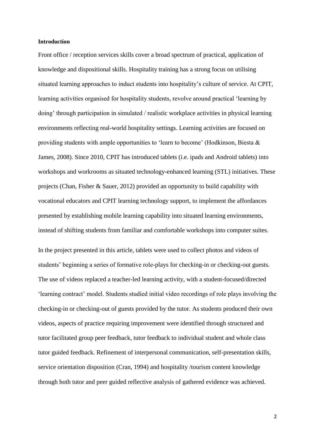#### **Introduction**

Front office / reception services skills cover a broad spectrum of practical, application of knowledge and dispositional skills. Hospitality training has a strong focus on utilising situated learning approaches to induct students into hospitality's culture of service. At CPIT, learning activities organised for hospitality students, revolve around practical 'learning by doing' through participation in simulated / realistic workplace activities in physical learning environments reflecting real-world hospitality settings. Learning activities are focused on providing students with ample opportunities to 'learn to become' (Hodkinson, Biesta & James, 2008). Since 2010, CPIT has introduced tablets (i.e. ipads and Android tablets) into workshops and workrooms as situated technology-enhanced learning (STL) initiatives. These projects (Chan, Fisher & Sauer, 2012) provided an opportunity to build capability with vocational educators and CPIT learning technology support, to implement the affordances presented by establishing mobile learning capability into situated learning environments, instead of shifting students from familiar and comfortable workshops into computer suites.

In the project presented in this article, tablets were used to collect photos and videos of students' beginning a series of formative role-plays for checking-in or checking-out guests. The use of videos replaced a teacher-led learning activity, with a student-focused/directed 'learning contract' model. Students studied initial video recordings of role plays involving the checking-in or checking-out of guests provided by the tutor. As students produced their own videos, aspects of practice requiring improvement were identified through structured and tutor facilitated group peer feedback, tutor feedback to individual student and whole class tutor guided feedback. Refinement of interpersonal communication, self-presentation skills, service orientation disposition (Cran, 1994) and hospitality /tourism content knowledge through both tutor and peer guided reflective analysis of gathered evidence was achieved.

2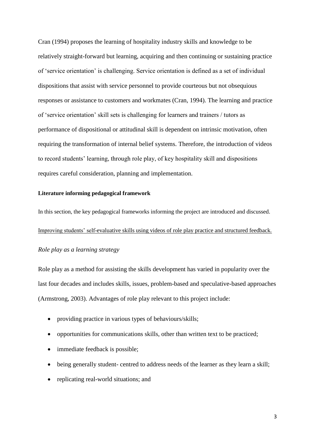Cran (1994) proposes the learning of hospitality industry skills and knowledge to be relatively straight-forward but learning, acquiring and then continuing or sustaining practice of 'service orientation' is challenging. Service orientation is defined as a set of individual dispositions that assist with service personnel to provide courteous but not obsequious responses or assistance to customers and workmates (Cran, 1994). The learning and practice of 'service orientation' skill sets is challenging for learners and trainers / tutors as performance of dispositional or attitudinal skill is dependent on intrinsic motivation, often requiring the transformation of internal belief systems. Therefore, the introduction of videos to record students' learning, through role play, of key hospitality skill and dispositions requires careful consideration, planning and implementation.

#### **Literature informing pedagogical framework**

In this section, the key pedagogical frameworks informing the project are introduced and discussed. Improving students' self-evaluative skills using videos of role play practice and structured feedback. *Role play as a learning strategy*

Role play as a method for assisting the skills development has varied in popularity over the last four decades and includes skills, issues, problem-based and speculative-based approaches (Armstrong, 2003). Advantages of role play relevant to this project include:

- providing practice in various types of behaviours/skills;
- opportunities for communications skills, other than written text to be practiced;
- immediate feedback is possible;
- being generally student- centred to address needs of the learner as they learn a skill;
- replicating real-world situations; and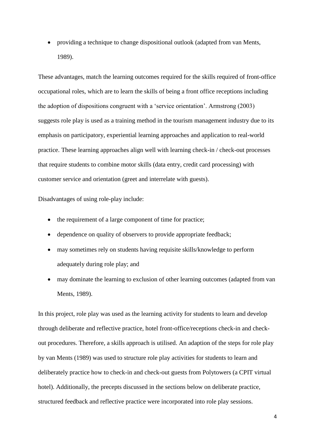providing a technique to change dispositional outlook (adapted from van Ments, 1989).

These advantages, match the learning outcomes required for the skills required of front-office occupational roles, which are to learn the skills of being a front office receptions including the adoption of dispositions congruent with a 'service orientation'. Armstrong (2003) suggests role play is used as a training method in the tourism management industry due to its emphasis on participatory, experiential learning approaches and application to real-world practice. These learning approaches align well with learning check-in / check-out processes that require students to combine motor skills (data entry, credit card processing) with customer service and orientation (greet and interrelate with guests).

Disadvantages of using role-play include:

- the requirement of a large component of time for practice;
- dependence on quality of observers to provide appropriate feedback;
- may sometimes rely on students having requisite skills/knowledge to perform adequately during role play; and
- may dominate the learning to exclusion of other learning outcomes (adapted from van Ments, 1989).

In this project, role play was used as the learning activity for students to learn and develop through deliberate and reflective practice, hotel front-office/receptions check-in and checkout procedures. Therefore, a skills approach is utilised. An adaption of the steps for role play by van Ments (1989) was used to structure role play activities for students to learn and deliberately practice how to check-in and check-out guests from Polytowers (a CPIT virtual hotel). Additionally, the precepts discussed in the sections below on deliberate practice, structured feedback and reflective practice were incorporated into role play sessions.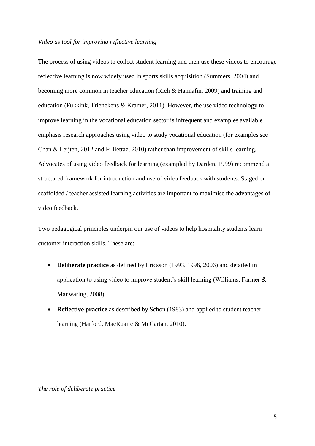## *Video as tool for improving reflective learning*

The process of using videos to collect student learning and then use these videos to encourage reflective learning is now widely used in sports skills acquisition (Summers, 2004) and becoming more common in teacher education (Rich & Hannafin, 2009) and training and education (Fukkink, Trienekens & Kramer, 2011). However, the use video technology to improve learning in the vocational education sector is infrequent and examples available emphasis research approaches using video to study vocational education (for examples see Chan & Leijten, 2012 and Filliettaz, 2010) rather than improvement of skills learning. Advocates of using video feedback for learning (exampled by Darden, 1999) recommend a structured framework for introduction and use of video feedback with students. Staged or scaffolded / teacher assisted learning activities are important to maximise the advantages of video feedback.

Two pedagogical principles underpin our use of videos to help hospitality students learn customer interaction skills. These are:

- **Deliberate practice** as defined by Ericsson (1993, 1996, 2006) and detailed in application to using video to improve student's skill learning (Williams, Farmer & Manwaring, 2008).
- **Reflective practice** as described by Schon (1983) and applied to student teacher learning (Harford, MacRuairc & McCartan, 2010).

*The role of deliberate practice*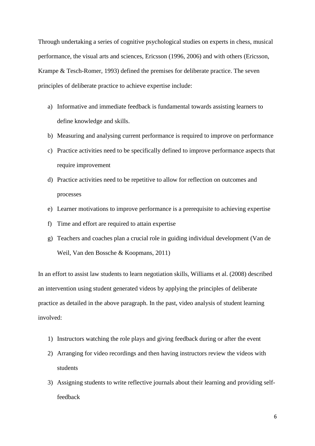Through undertaking a series of cognitive psychological studies on experts in chess, musical performance, the visual arts and sciences, Ericsson (1996, 2006) and with others (Ericsson, Krampe & Tesch-Romer, 1993) defined the premises for deliberate practice. The seven principles of deliberate practice to achieve expertise include:

- a) Informative and immediate feedback is fundamental towards assisting learners to define knowledge and skills.
- b) Measuring and analysing current performance is required to improve on performance
- c) Practice activities need to be specifically defined to improve performance aspects that require improvement
- d) Practice activities need to be repetitive to allow for reflection on outcomes and processes
- e) Learner motivations to improve performance is a prerequisite to achieving expertise
- f) Time and effort are required to attain expertise
- g) Teachers and coaches plan a crucial role in guiding individual development (Van de Weil, Van den Bossche & Koopmans, 2011)

In an effort to assist law students to learn negotiation skills, Williams et al. (2008) described an intervention using student generated videos by applying the principles of deliberate practice as detailed in the above paragraph. In the past, video analysis of student learning involved:

- 1) Instructors watching the role plays and giving feedback during or after the event
- 2) Arranging for video recordings and then having instructors review the videos with students
- 3) Assigning students to write reflective journals about their learning and providing selffeedback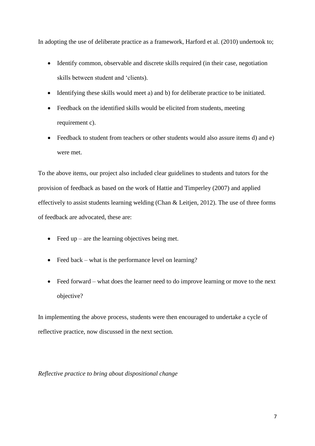In adopting the use of deliberate practice as a framework, Harford et al. (2010) undertook to;

- Identify common, observable and discrete skills required (in their case, negotiation skills between student and 'clients).
- Identifying these skills would meet a) and b) for deliberate practice to be initiated.
- Feedback on the identified skills would be elicited from students, meeting requirement c).
- Feedback to student from teachers or other students would also assure items d) and e) were met.

To the above items, our project also included clear guidelines to students and tutors for the provision of feedback as based on the work of Hattie and Timperley (2007) and applied effectively to assist students learning welding (Chan & Leitjen, 2012). The use of three forms of feedback are advocated, these are:

- $\bullet$  Feed up are the learning objectives being met.
- Feed back what is the performance level on learning?
- Feed forward what does the learner need to do improve learning or move to the next objective?

In implementing the above process, students were then encouraged to undertake a cycle of reflective practice, now discussed in the next section.

# *Reflective practice to bring about dispositional change*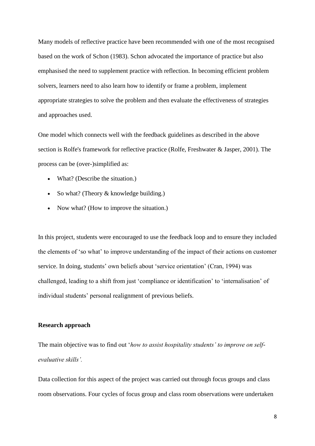Many models of reflective practice have been recommended with one of the most recognised based on the work of Schon (1983). Schon advocated the importance of practice but also emphasised the need to supplement practice with reflection. In becoming efficient problem solvers, learners need to also learn how to identify or frame a problem, implement appropriate strategies to solve the problem and then evaluate the effectiveness of strategies and approaches used.

One model which connects well with the feedback guidelines as described in the above section is Rolfe's framework for reflective practice (Rolfe, Freshwater & Jasper, 2001). The process can be (over-)simplified as:

- What? (Describe the situation.)
- So what? (Theory  $&$  knowledge building.)
- Now what? (How to improve the situation.)

In this project, students were encouraged to use the feedback loop and to ensure they included the elements of 'so what' to improve understanding of the impact of their actions on customer service. In doing, students' own beliefs about 'service orientation' (Cran, 1994) was challenged, leading to a shift from just 'compliance or identification' to 'internalisation' of individual students' personal realignment of previous beliefs.

# **Research approach**

The main objective was to find out '*how to assist hospitality students' to improve on selfevaluative skills'.*

Data collection for this aspect of the project was carried out through focus groups and class room observations. Four cycles of focus group and class room observations were undertaken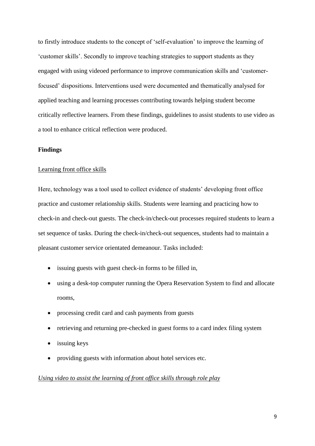to firstly introduce students to the concept of 'self-evaluation' to improve the learning of 'customer skills'. Secondly to improve teaching strategies to support students as they engaged with using videoed performance to improve communication skills and 'customerfocused' dispositions. Interventions used were documented and thematically analysed for applied teaching and learning processes contributing towards helping student become critically reflective learners. From these findings, guidelines to assist students to use video as a tool to enhance critical reflection were produced.

# **Findings**

#### Learning front office skills

Here, technology was a tool used to collect evidence of students' developing front office practice and customer relationship skills. Students were learning and practicing how to check-in and check-out guests. The check-in/check-out processes required students to learn a set sequence of tasks. During the check-in/check-out sequences, students had to maintain a pleasant customer service orientated demeanour. Tasks included:

- issuing guests with guest check-in forms to be filled in,
- using a desk-top computer running the Opera Reservation System to find and allocate rooms,
- processing credit card and cash payments from guests
- retrieving and returning pre-checked in guest forms to a card index filing system
- issuing keys
- providing guests with information about hotel services etc.

#### *Using video to assist the learning of front office skills through role play*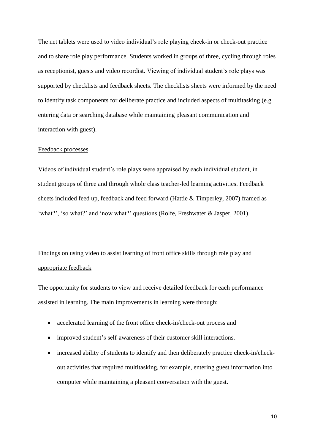The net tablets were used to video individual's role playing check-in or check-out practice and to share role play performance. Students worked in groups of three, cycling through roles as receptionist, guests and video recordist. Viewing of individual student's role plays was supported by checklists and feedback sheets. The checklists sheets were informed by the need to identify task components for deliberate practice and included aspects of multitasking (e.g. entering data or searching database while maintaining pleasant communication and interaction with guest).

#### Feedback processes

Videos of individual student's role plays were appraised by each individual student, in student groups of three and through whole class teacher-led learning activities. Feedback sheets included feed up, feedback and feed forward (Hattie & Timperley, 2007) framed as 'what?', 'so what?' and 'now what?' questions (Rolfe, Freshwater & Jasper, 2001).

# Findings on using video to assist learning of front office skills through role play and appropriate feedback

The opportunity for students to view and receive detailed feedback for each performance assisted in learning. The main improvements in learning were through:

- accelerated learning of the front office check-in/check-out process and
- improved student's self-awareness of their customer skill interactions.
- increased ability of students to identify and then deliberately practice check-in/checkout activities that required multitasking, for example, entering guest information into computer while maintaining a pleasant conversation with the guest.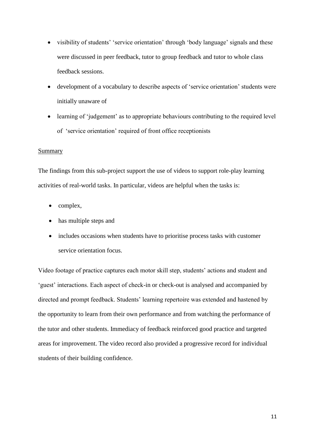- visibility of students' 'service orientation' through 'body language' signals and these were discussed in peer feedback, tutor to group feedback and tutor to whole class feedback sessions.
- development of a vocabulary to describe aspects of 'service orientation' students were initially unaware of
- learning of 'judgement' as to appropriate behaviours contributing to the required level of 'service orientation' required of front office receptionists

# Summary

The findings from this sub-project support the use of videos to support role-play learning activities of real-world tasks. In particular, videos are helpful when the tasks is:

- $\bullet$  complex,
- has multiple steps and
- includes occasions when students have to prioritise process tasks with customer service orientation focus.

Video footage of practice captures each motor skill step, students' actions and student and 'guest' interactions. Each aspect of check-in or check-out is analysed and accompanied by directed and prompt feedback. Students' learning repertoire was extended and hastened by the opportunity to learn from their own performance and from watching the performance of the tutor and other students. Immediacy of feedback reinforced good practice and targeted areas for improvement. The video record also provided a progressive record for individual students of their building confidence.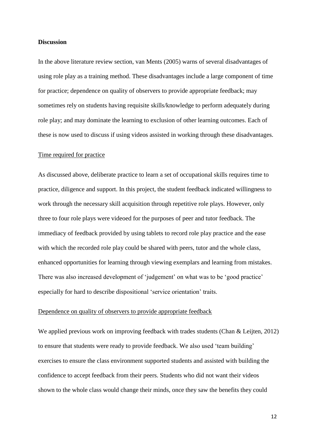#### **Discussion**

In the above literature review section, van Ments (2005) warns of several disadvantages of using role play as a training method. These disadvantages include a large component of time for practice; dependence on quality of observers to provide appropriate feedback; may sometimes rely on students having requisite skills/knowledge to perform adequately during role play; and may dominate the learning to exclusion of other learning outcomes. Each of these is now used to discuss if using videos assisted in working through these disadvantages.

#### Time required for practice

As discussed above, deliberate practice to learn a set of occupational skills requires time to practice, diligence and support. In this project, the student feedback indicated willingness to work through the necessary skill acquisition through repetitive role plays. However, only three to four role plays were videoed for the purposes of peer and tutor feedback. The immediacy of feedback provided by using tablets to record role play practice and the ease with which the recorded role play could be shared with peers, tutor and the whole class, enhanced opportunities for learning through viewing exemplars and learning from mistakes. There was also increased development of 'judgement' on what was to be 'good practice' especially for hard to describe dispositional 'service orientation' traits.

# Dependence on quality of observers to provide appropriate feedback

We applied previous work on improving feedback with trades students (Chan & Leijten, 2012) to ensure that students were ready to provide feedback. We also used 'team building' exercises to ensure the class environment supported students and assisted with building the confidence to accept feedback from their peers. Students who did not want their videos shown to the whole class would change their minds, once they saw the benefits they could

12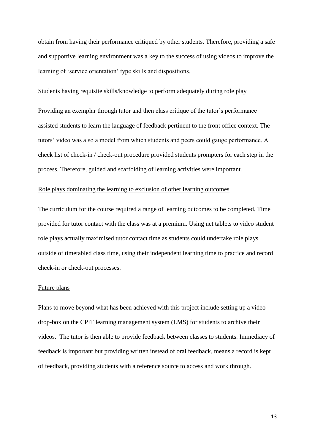obtain from having their performance critiqued by other students. Therefore, providing a safe and supportive learning environment was a key to the success of using videos to improve the learning of 'service orientation' type skills and dispositions.

#### Students having requisite skills/knowledge to perform adequately during role play

Providing an exemplar through tutor and then class critique of the tutor's performance assisted students to learn the language of feedback pertinent to the front office context. The tutors' video was also a model from which students and peers could gauge performance. A check list of check-in / check-out procedure provided students prompters for each step in the process. Therefore, guided and scaffolding of learning activities were important.

# Role plays dominating the learning to exclusion of other learning outcomes

The curriculum for the course required a range of learning outcomes to be completed. Time provided for tutor contact with the class was at a premium. Using net tablets to video student role plays actually maximised tutor contact time as students could undertake role plays outside of timetabled class time, using their independent learning time to practice and record check-in or check-out processes.

### Future plans

Plans to move beyond what has been achieved with this project include setting up a video drop-box on the CPIT learning management system (LMS) for students to archive their videos. The tutor is then able to provide feedback between classes to students. Immediacy of feedback is important but providing written instead of oral feedback, means a record is kept of feedback, providing students with a reference source to access and work through.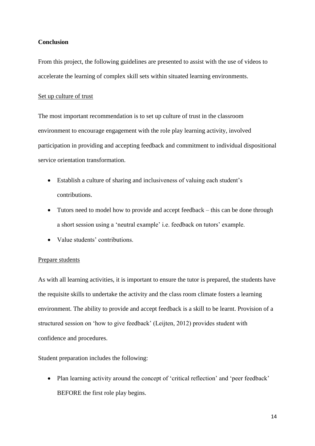# **Conclusion**

From this project, the following guidelines are presented to assist with the use of videos to accelerate the learning of complex skill sets within situated learning environments.

## Set up culture of trust

The most important recommendation is to set up culture of trust in the classroom environment to encourage engagement with the role play learning activity, involved participation in providing and accepting feedback and commitment to individual dispositional service orientation transformation.

- Establish a culture of sharing and inclusiveness of valuing each student's contributions.
- Tutors need to model how to provide and accept feedback this can be done through a short session using a 'neutral example' i.e. feedback on tutors' example.
- Value students' contributions.

# Prepare students

As with all learning activities, it is important to ensure the tutor is prepared, the students have the requisite skills to undertake the activity and the class room climate fosters a learning environment. The ability to provide and accept feedback is a skill to be learnt. Provision of a structured session on 'how to give feedback' (Leijten, 2012) provides student with confidence and procedures.

Student preparation includes the following:

 Plan learning activity around the concept of 'critical reflection' and 'peer feedback' BEFORE the first role play begins.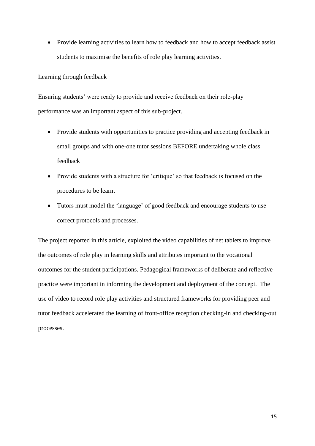• Provide learning activities to learn how to feedback and how to accept feedback assist students to maximise the benefits of role play learning activities.

# Learning through feedback

Ensuring students' were ready to provide and receive feedback on their role-play performance was an important aspect of this sub-project.

- Provide students with opportunities to practice providing and accepting feedback in small groups and with one-one tutor sessions BEFORE undertaking whole class feedback
- Provide students with a structure for 'critique' so that feedback is focused on the procedures to be learnt
- Tutors must model the 'language' of good feedback and encourage students to use correct protocols and processes.

The project reported in this article, exploited the video capabilities of net tablets to improve the outcomes of role play in learning skills and attributes important to the vocational outcomes for the student participations. Pedagogical frameworks of deliberate and reflective practice were important in informing the development and deployment of the concept. The use of video to record role play activities and structured frameworks for providing peer and tutor feedback accelerated the learning of front-office reception checking-in and checking-out processes.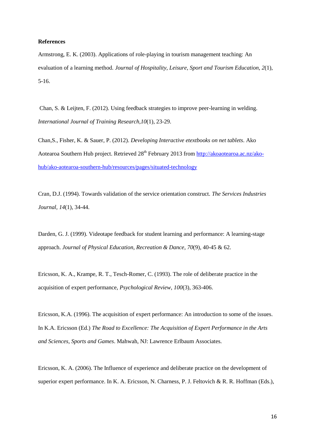#### **References**

Armstrong, E. K. (2003). Applications of role-playing in tourism management teaching: An evaluation of a learning method. *Journal of Hospitality, Leisure, Sport and Tourism Education, 2*(1), 5-16.

 Chan, S. & Leijten, F. (2012). Using feedback strategies to improve peer-learning in welding. *International Journal of Training Research,10*(1), 23-29.

Chan,S., Fisher, K. & Sauer, P. (2012). *Developing Interactive etextbooks on net tablets*. Ako Aotearoa Southern Hub project. Retrieved 28<sup>th</sup> February 2013 from [http://akoaotearoa.ac.nz/ako](http://akoaotearoa.ac.nz/ako-hub/ako-aotearoa-southern-hub/resources/pages/situated-technology)[hub/ako-aotearoa-southern-hub/resources/pages/situated-technology](http://akoaotearoa.ac.nz/ako-hub/ako-aotearoa-southern-hub/resources/pages/situated-technology)

Cran, D.J. (1994). Towards validation of the service orientation construct. *The Services Industries Journal, 14*(1), 34-44.

Darden, G. J. (1999). Videotape feedback for student learning and performance: A learning-stage approach. *Journal of Physical Education, Recreation & Dance*, *70*(9), 40-45 & 62.

Ericsson, K. A., Krampe, R. T., Tesch-Romer, C. (1993). The role of deliberate practice in the acquisition of expert performance, *Psychological Review, 100*(3), 363-406.

Ericsson, K.A. (1996). The acquisition of expert performance: An introduction to some of the issues. In K.A. Ericsson (Ed.) *The Road to Excellence: The Acquisition of Expert Performance in the Arts and Sciences, Sports and Games*. Mahwah, NJ: Lawrence Erlbaum Associates.

Ericsson, K. A. (2006). The Influence of experience and deliberate practice on the development of superior expert performance. In K. A. Ericsson, N. Charness, P. J. Feltovich & R. R. Hoffman (Eds.),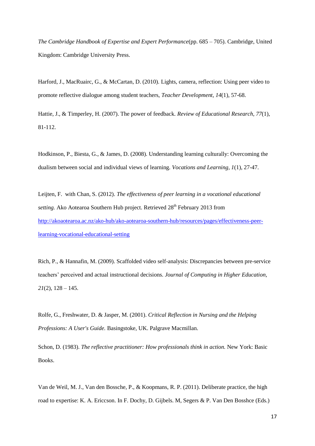*The Cambridge Handbook of Expertise and Expert Performance*(pp. 685 – 705). Cambridge, United Kingdom: Cambridge University Press.

 Harford, J., MacRuairc, G., & McCartan, D. (2010). Lights, camera, reflection: Using peer video to promote reflective dialogue among student teachers, *Teacher Development, 14*(1), 57-68.

Hattie, J., & Timperley, H. (2007). The power of feedback. *Review of Educational Research, 77*(1), 81-112.

Hodkinson, P., Biesta, G., & James, D. (2008). Understanding learning culturally: Overcoming the dualism between social and individual views of learning. *Vocations and Learning, 1*(1), 27-47.

Leijten, F. with Chan, S. (2012). *The effectiveness of peer learning in a vocational educational setting.* Ako Aotearoa Southern Hub project. Retrieved 28<sup>th</sup> February 2013 from [http://akoaotearoa.ac.nz/ako-hub/ako-aotearoa-southern-hub/resources/pages/effectiveness-peer](http://akoaotearoa.ac.nz/ako-hub/ako-aotearoa-southern-hub/resources/pages/effectiveness-peer-learning-vocational-educational-setting)[learning-vocational-educational-setting](http://akoaotearoa.ac.nz/ako-hub/ako-aotearoa-southern-hub/resources/pages/effectiveness-peer-learning-vocational-educational-setting)

 Rich, P., & Hannafin, M. (2009). Scaffolded video self-analysis: Discrepancies between pre-service teachers' perceived and actual instructional decisions. *Journal of Computing in Higher Education,*   $21(2)$ ,  $128 - 145$ .

 Rolfe, G., Freshwater, D. & Jasper, M. (2001). *Critical Reflection in Nursing and the Helping Professions: A User's Guide.* Basingstoke, UK. Palgrave Macmillan.

Schon, D. (1983). *The reflective practitioner: How professionals think in action.* New York: Basic Books.

Van de Weil, M. J., Van den Bossche, P., & Koopmans, R. P. (2011). Deliberate practice, the high road to expertise: K. A. Ericcson. In F. Dochy, D. Gijbels. M, Segers & P. Van Den Bosshce (Eds.)